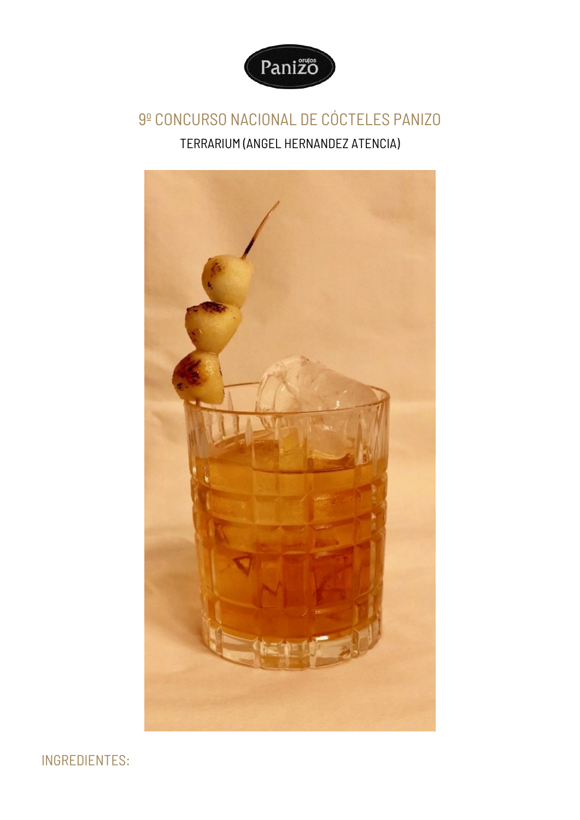

## 9º CONCURSO NACIONAL DE CÓCTELES PANIZO TERRARIUM (ANGEL HERNANDEZ ATENCIA)



INGREDIENTES: